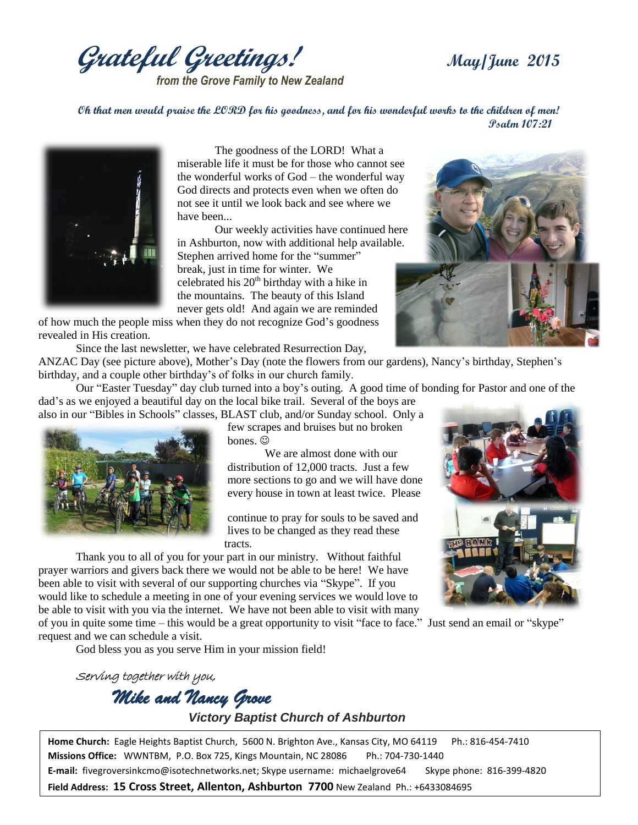**Grateful Greetings! May/June <sup>2015</sup>**

*from the Grove Family to New Zealand*

**Oh that men would praise the LORD for his goodness, and for his wonderful works to the children of men! Psalm 107:21**



The goodness of the LORD! What a miserable life it must be for those who cannot see the wonderful works of God – the wonderful way God directs and protects even when we often do not see it until we look back and see where we have been...

Our weekly activities have continued here in Ashburton, now with additional help available. Stephen arrived home for the "summer" break, just in time for winter. We celebrated his  $20<sup>th</sup>$  birthday with a hike in the mountains. The beauty of this Island never gets old! And again we are reminded

of how much the people miss when they do not recognize God's goodness revealed in His creation.

Since the last newsletter, we have celebrated Resurrection Day,



ANZAC Day (see picture above), Mother's Day (note the flowers from our gardens), Nancy's birthday, Stephen's birthday, and a couple other birthday's of folks in our church family.

Our "Easter Tuesday" day club turned into a boy's outing. A good time of bonding for Pastor and one of the dad's as we enjoyed a beautiful day on the local bike trail. Several of the boys are also in our "Bibles in Schools" classes, BLAST club, and/or Sunday school. Only a



few scrapes and bruises but no broken hones.  $\odot$ 

We are almost done with our distribution of 12,000 tracts. Just a few more sections to go and we will have done every house in town at least twice. Please

continue to pray for souls to be saved and lives to be changed as they read these tracts.

Thank you to all of you for your part in our ministry. Without faithful prayer warriors and givers back there we would not be able to be here! We have been able to visit with several of our supporting churches via "Skype". If you would like to schedule a meeting in one of your evening services we would love to be able to visit with you via the internet. We have not been able to visit with many

of you in quite some time – this would be a great opportunity to visit "face to face." Just send an email or "skype" request and we can schedule a visit.

God bless you as you serve Him in your mission field!

Serving together with you, *Mike and Nancy Grove Victory Baptist Church of Ashburton*

**Home Church:** Eagle Heights Baptist Church, 5600 N. Brighton Ave., Kansas City, MO 64119 Ph.: 816-454-7410 **Missions Office:** WWNTBM, P.O. Box 725, Kings Mountain, NC 28086 Ph.: 704-730-1440 **E-mail:** fivegroversinkcmo@isotechnetworks.net; Skype username: michaelgrove64 Skype phone: 816-399-4820 **Field Address: 15 Cross Street, Allenton, Ashburton 7700** New Zealand Ph.: +6433084695